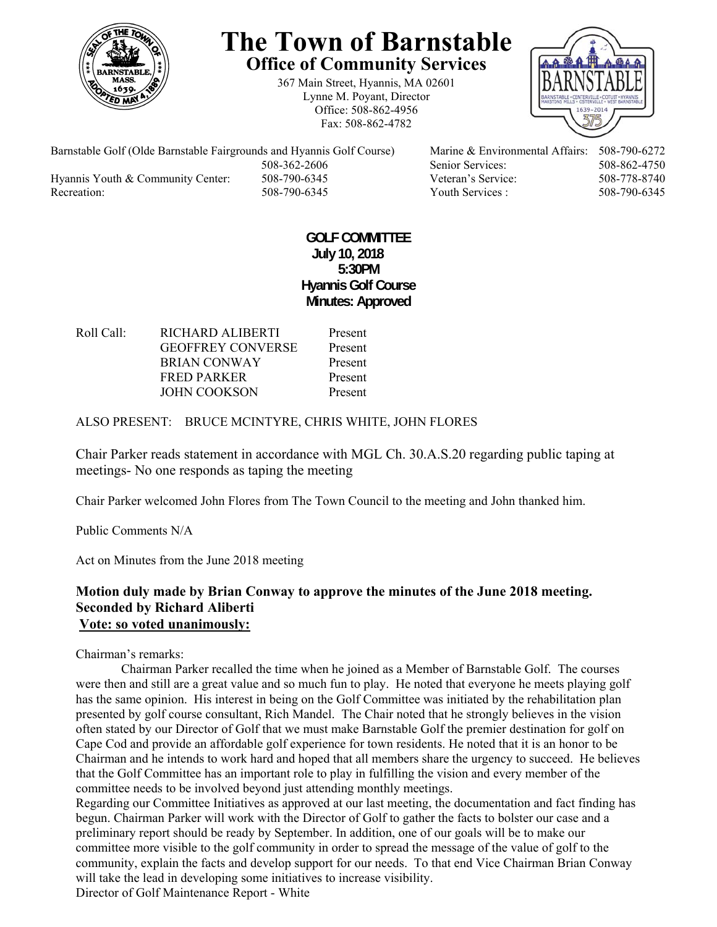

# **The Town of Barnstable Office of Community Services**

367 Main Street, Hyannis, MA 02601 Lynne M. Poyant, Director Office: 508-862-4956 Fax: 508-862-4782



Barnstable Golf (Olde Barnstable Fairgrounds and Hyannis Golf Course) Marine & Environmental Affairs: 508-790-6272 508-362-2606 Senior Services: 508-862-4750 Hyannis Youth & Community Center: 508-790-6345 Veteran's Service: 508-778-8740 Recreation: 508-790-6345 Youth Services : 508-790-6345 S08-790-6345

## **GOLF COMMITTEE July 10, 2018 5:30PM Hyannis Golf Course Minutes: Approved**

Roll Call: RICHARD ALIBERTI Present GEOFFREY CONVERSE Present BRIAN CONWAY Present FRED PARKER Present JOHN COOKSON Present

ALSO PRESENT: BRUCE MCINTYRE, CHRIS WHITE, JOHN FLORES

Chair Parker reads statement in accordance with MGL Ch. 30.A.S.20 regarding public taping at meetings- No one responds as taping the meeting

Chair Parker welcomed John Flores from The Town Council to the meeting and John thanked him.

Public Comments N/A

Act on Minutes from the June 2018 meeting

### **Motion duly made by Brian Conway to approve the minutes of the June 2018 meeting. Seconded by Richard Aliberti Vote: so voted unanimously:**

Chairman's remarks:

 Chairman Parker recalled the time when he joined as a Member of Barnstable Golf. The courses were then and still are a great value and so much fun to play. He noted that everyone he meets playing golf has the same opinion. His interest in being on the Golf Committee was initiated by the rehabilitation plan presented by golf course consultant, Rich Mandel. The Chair noted that he strongly believes in the vision often stated by our Director of Golf that we must make Barnstable Golf the premier destination for golf on Cape Cod and provide an affordable golf experience for town residents. He noted that it is an honor to be Chairman and he intends to work hard and hoped that all members share the urgency to succeed. He believes that the Golf Committee has an important role to play in fulfilling the vision and every member of the committee needs to be involved beyond just attending monthly meetings.

Regarding our Committee Initiatives as approved at our last meeting, the documentation and fact finding has begun. Chairman Parker will work with the Director of Golf to gather the facts to bolster our case and a preliminary report should be ready by September. In addition, one of our goals will be to make our committee more visible to the golf community in order to spread the message of the value of golf to the community, explain the facts and develop support for our needs. To that end Vice Chairman Brian Conway will take the lead in developing some initiatives to increase visibility.

Director of Golf Maintenance Report - White